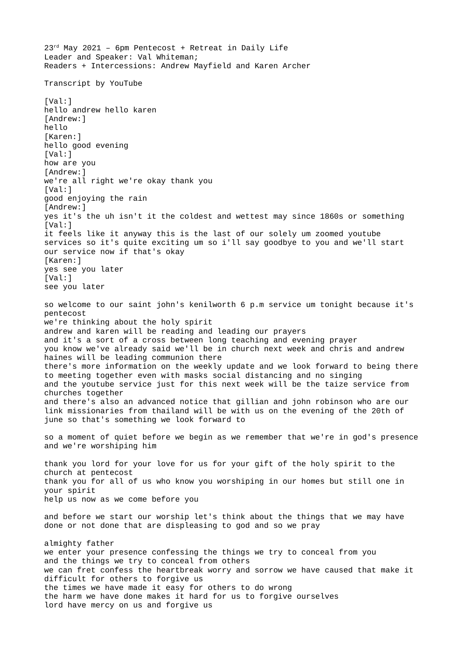23rd May 2021 – 6pm Pentecost + Retreat in Daily Life Leader and Speaker: Val Whiteman; Readers + Intercessions: Andrew Mayfield and Karen Archer Transcript by YouTube [Val:] hello andrew hello karen [Andrew:] hello [Karen:] hello good evening [Val:] how are you [Andrew:] we're all right we're okay thank you [Val:] good enjoying the rain [Andrew:] yes it's the uh isn't it the coldest and wettest may since 1860s or something [Val:] it feels like it anyway this is the last of our solely um zoomed youtube services so it's quite exciting um so i'll say goodbye to you and we'll start our service now if that's okay [Karen:] yes see you later [Val:] see you later so welcome to our saint john's kenilworth 6 p.m service um tonight because it's pentecost we're thinking about the holy spirit andrew and karen will be reading and leading our prayers and it's a sort of a cross between long teaching and evening prayer you know we've already said we'll be in church next week and chris and andrew haines will be leading communion there there's more information on the weekly update and we look forward to being there to meeting together even with masks social distancing and no singing and the youtube service just for this next week will be the taize service from churches together and there's also an advanced notice that gillian and john robinson who are our link missionaries from thailand will be with us on the evening of the 20th of june so that's something we look forward to so a moment of quiet before we begin as we remember that we're in god's presence and we're worshiping him thank you lord for your love for us for your gift of the holy spirit to the church at pentecost thank you for all of us who know you worshiping in our homes but still one in your spirit help us now as we come before you and before we start our worship let's think about the things that we may have done or not done that are displeasing to god and so we pray almighty father we enter your presence confessing the things we try to conceal from you and the things we try to conceal from others we can fret confess the heartbreak worry and sorrow we have caused that make it difficult for others to forgive us the times we have made it easy for others to do wrong the harm we have done makes it hard for us to forgive ourselves lord have mercy on us and forgive us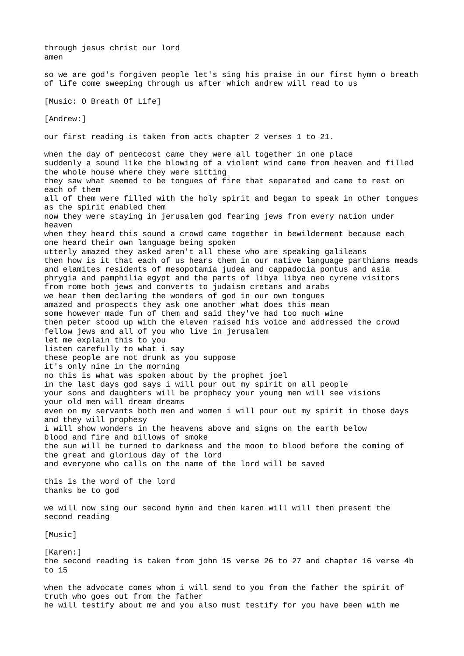through jesus christ our lord amen so we are god's forgiven people let's sing his praise in our first hymn o breath of life come sweeping through us after which andrew will read to us [Music: O Breath Of Life] [Andrew:] our first reading is taken from acts chapter 2 verses 1 to 21. when the day of pentecost came they were all together in one place suddenly a sound like the blowing of a violent wind came from heaven and filled the whole house where they were sitting they saw what seemed to be tongues of fire that separated and came to rest on each of them all of them were filled with the holy spirit and began to speak in other tongues as the spirit enabled them now they were staying in jerusalem god fearing jews from every nation under heaven when they heard this sound a crowd came together in bewilderment because each one heard their own language being spoken utterly amazed they asked aren't all these who are speaking galileans then how is it that each of us hears them in our native language parthians meads and elamites residents of mesopotamia judea and cappadocia pontus and asia phrygia and pamphilia egypt and the parts of libya libya neo cyrene visitors from rome both jews and converts to judaism cretans and arabs we hear them declaring the wonders of god in our own tongues amazed and prospects they ask one another what does this mean some however made fun of them and said they've had too much wine then peter stood up with the eleven raised his voice and addressed the crowd fellow jews and all of you who live in jerusalem let me explain this to you listen carefully to what i say these people are not drunk as you suppose it's only nine in the morning no this is what was spoken about by the prophet joel in the last days god says i will pour out my spirit on all people your sons and daughters will be prophecy your young men will see visions your old men will dream dreams even on my servants both men and women i will pour out my spirit in those days and they will prophesy i will show wonders in the heavens above and signs on the earth below blood and fire and billows of smoke the sun will be turned to darkness and the moon to blood before the coming of the great and glorious day of the lord and everyone who calls on the name of the lord will be saved this is the word of the lord thanks be to god we will now sing our second hymn and then karen will will then present the second reading [Music] [Karen:] the second reading is taken from john 15 verse 26 to 27 and chapter 16 verse 4b to 15 when the advocate comes whom i will send to you from the father the spirit of truth who goes out from the father

he will testify about me and you also must testify for you have been with me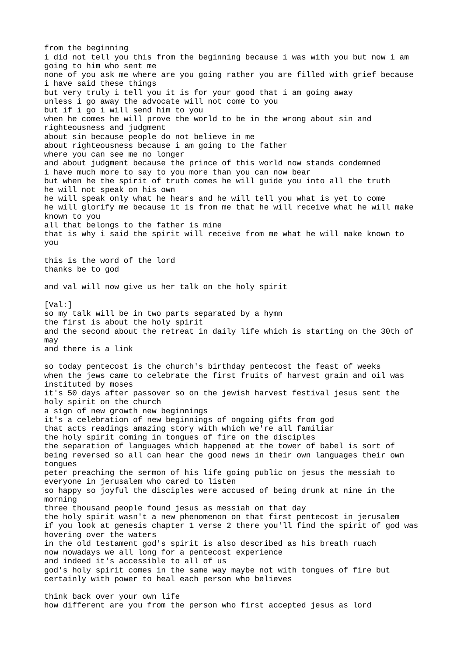from the beginning i did not tell you this from the beginning because i was with you but now i am going to him who sent me none of you ask me where are you going rather you are filled with grief because i have said these things but very truly i tell you it is for your good that i am going away unless i go away the advocate will not come to you but if i go i will send him to you when he comes he will prove the world to be in the wrong about sin and righteousness and judgment about sin because people do not believe in me about righteousness because i am going to the father where you can see me no longer and about judgment because the prince of this world now stands condemned i have much more to say to you more than you can now bear but when he the spirit of truth comes he will guide you into all the truth he will not speak on his own he will speak only what he hears and he will tell you what is yet to come he will glorify me because it is from me that he will receive what he will make known to you all that belongs to the father is mine that is why i said the spirit will receive from me what he will make known to you this is the word of the lord thanks be to god and val will now give us her talk on the holy spirit [Val:] so my talk will be in two parts separated by a hymn the first is about the holy spirit and the second about the retreat in daily life which is starting on the 30th of may and there is a link so today pentecost is the church's birthday pentecost the feast of weeks when the jews came to celebrate the first fruits of harvest grain and oil was instituted by moses it's 50 days after passover so on the jewish harvest festival jesus sent the holy spirit on the church a sign of new growth new beginnings it's a celebration of new beginnings of ongoing gifts from god that acts readings amazing story with which we're all familiar the holy spirit coming in tongues of fire on the disciples the separation of languages which happened at the tower of babel is sort of being reversed so all can hear the good news in their own languages their own tongues peter preaching the sermon of his life going public on jesus the messiah to everyone in jerusalem who cared to listen so happy so joyful the disciples were accused of being drunk at nine in the morning three thousand people found jesus as messiah on that day the holy spirit wasn't a new phenomenon on that first pentecost in jerusalem if you look at genesis chapter 1 verse 2 there you'll find the spirit of god was hovering over the waters in the old testament god's spirit is also described as his breath ruach now nowadays we all long for a pentecost experience and indeed it's accessible to all of us god's holy spirit comes in the same way maybe not with tongues of fire but certainly with power to heal each person who believes think back over your own life how different are you from the person who first accepted jesus as lord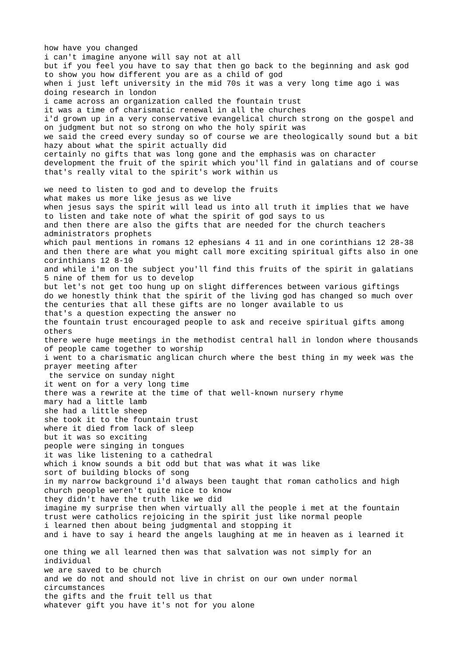how have you changed i can't imagine anyone will say not at all but if you feel you have to say that then go back to the beginning and ask god to show you how different you are as a child of god when i just left university in the mid 70s it was a very long time ago i was doing research in london i came across an organization called the fountain trust it was a time of charismatic renewal in all the churches i'd grown up in a very conservative evangelical church strong on the gospel and on judgment but not so strong on who the holy spirit was we said the creed every sunday so of course we are theologically sound but a bit hazy about what the spirit actually did certainly no gifts that was long gone and the emphasis was on character development the fruit of the spirit which you'll find in galatians and of course that's really vital to the spirit's work within us we need to listen to god and to develop the fruits what makes us more like jesus as we live when jesus says the spirit will lead us into all truth it implies that we have to listen and take note of what the spirit of god says to us and then there are also the gifts that are needed for the church teachers administrators prophets which paul mentions in romans 12 ephesians 4 11 and in one corinthians 12 28-38 and then there are what you might call more exciting spiritual gifts also in one corinthians 12 8-10 and while i'm on the subject you'll find this fruits of the spirit in galatians 5 nine of them for us to develop but let's not get too hung up on slight differences between various giftings do we honestly think that the spirit of the living god has changed so much over the centuries that all these gifts are no longer available to us that's a question expecting the answer no the fountain trust encouraged people to ask and receive spiritual gifts among others there were huge meetings in the methodist central hall in london where thousands of people came together to worship i went to a charismatic anglican church where the best thing in my week was the prayer meeting after the service on sunday night it went on for a very long time there was a rewrite at the time of that well-known nursery rhyme mary had a little lamb she had a little sheep she took it to the fountain trust where it died from lack of sleep but it was so exciting people were singing in tongues it was like listening to a cathedral which i know sounds a bit odd but that was what it was like sort of building blocks of song in my narrow background i'd always been taught that roman catholics and high church people weren't quite nice to know they didn't have the truth like we did imagine my surprise then when virtually all the people i met at the fountain trust were catholics rejoicing in the spirit just like normal people i learned then about being judgmental and stopping it and i have to say i heard the angels laughing at me in heaven as i learned it one thing we all learned then was that salvation was not simply for an individual we are saved to be church and we do not and should not live in christ on our own under normal circumstances the gifts and the fruit tell us that whatever gift you have it's not for you alone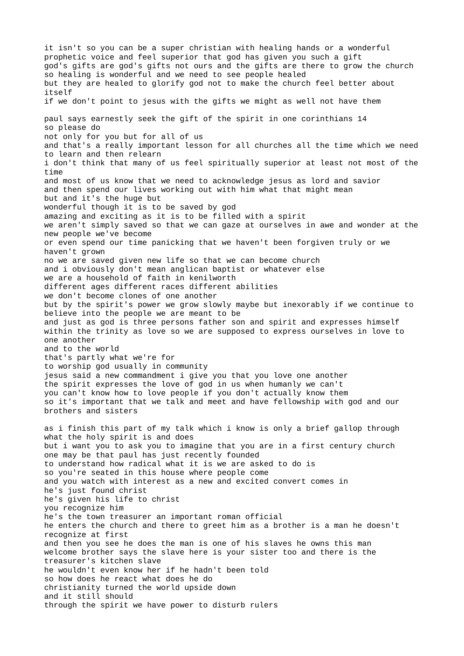it isn't so you can be a super christian with healing hands or a wonderful prophetic voice and feel superior that god has given you such a gift god's gifts are god's gifts not ours and the gifts are there to grow the church so healing is wonderful and we need to see people healed but they are healed to glorify god not to make the church feel better about itself if we don't point to jesus with the gifts we might as well not have them paul says earnestly seek the gift of the spirit in one corinthians 14 so please do not only for you but for all of us and that's a really important lesson for all churches all the time which we need to learn and then relearn i don't think that many of us feel spiritually superior at least not most of the time and most of us know that we need to acknowledge jesus as lord and savior and then spend our lives working out with him what that might mean but and it's the huge but wonderful though it is to be saved by god amazing and exciting as it is to be filled with a spirit we aren't simply saved so that we can gaze at ourselves in awe and wonder at the new people we've become or even spend our time panicking that we haven't been forgiven truly or we haven't grown no we are saved given new life so that we can become church and i obviously don't mean anglican baptist or whatever else we are a household of faith in kenilworth different ages different races different abilities we don't become clones of one another but by the spirit's power we grow slowly maybe but inexorably if we continue to believe into the people we are meant to be and just as god is three persons father son and spirit and expresses himself within the trinity as love so we are supposed to express ourselves in love to one another and to the world that's partly what we're for to worship god usually in community jesus said a new commandment i give you that you love one another the spirit expresses the love of god in us when humanly we can't you can't know how to love people if you don't actually know them so it's important that we talk and meet and have fellowship with god and our brothers and sisters as i finish this part of my talk which i know is only a brief gallop through what the holy spirit is and does but i want you to ask you to imagine that you are in a first century church one may be that paul has just recently founded to understand how radical what it is we are asked to do is so you're seated in this house where people come and you watch with interest as a new and excited convert comes in he's just found christ he's given his life to christ you recognize him he's the town treasurer an important roman official he enters the church and there to greet him as a brother is a man he doesn't recognize at first and then you see he does the man is one of his slaves he owns this man welcome brother says the slave here is your sister too and there is the treasurer's kitchen slave he wouldn't even know her if he hadn't been told so how does he react what does he do christianity turned the world upside down and it still should through the spirit we have power to disturb rulers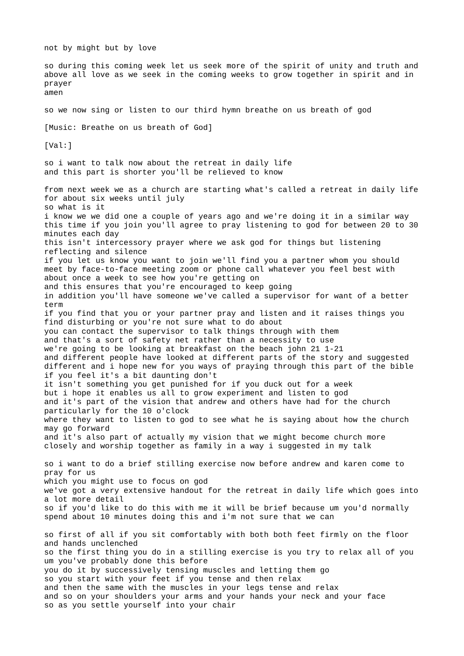not by might but by love so during this coming week let us seek more of the spirit of unity and truth and above all love as we seek in the coming weeks to grow together in spirit and in prayer amen so we now sing or listen to our third hymn breathe on us breath of god [Music: Breathe on us breath of God] [Val:] so i want to talk now about the retreat in daily life and this part is shorter you'll be relieved to know from next week we as a church are starting what's called a retreat in daily life for about six weeks until july so what is it i know we we did one a couple of years ago and we're doing it in a similar way this time if you join you'll agree to pray listening to god for between 20 to 30 minutes each day this isn't intercessory prayer where we ask god for things but listening reflecting and silence if you let us know you want to join we'll find you a partner whom you should meet by face-to-face meeting zoom or phone call whatever you feel best with about once a week to see how you're getting on and this ensures that you're encouraged to keep going in addition you'll have someone we've called a supervisor for want of a better term if you find that you or your partner pray and listen and it raises things you find disturbing or you're not sure what to do about you can contact the supervisor to talk things through with them and that's a sort of safety net rather than a necessity to use we're going to be looking at breakfast on the beach john 21 1-21 and different people have looked at different parts of the story and suggested different and i hope new for you ways of praying through this part of the bible if you feel it's a bit daunting don't it isn't something you get punished for if you duck out for a week but i hope it enables us all to grow experiment and listen to god and it's part of the vision that andrew and others have had for the church particularly for the 10 o'clock where they want to listen to god to see what he is saying about how the church may go forward and it's also part of actually my vision that we might become church more closely and worship together as family in a way i suggested in my talk so i want to do a brief stilling exercise now before andrew and karen come to pray for us which you might use to focus on god we've got a very extensive handout for the retreat in daily life which goes into a lot more detail so if you'd like to do this with me it will be brief because um you'd normally spend about 10 minutes doing this and i'm not sure that we can so first of all if you sit comfortably with both both feet firmly on the floor and hands unclenched so the first thing you do in a stilling exercise is you try to relax all of you um you've probably done this before you do it by successively tensing muscles and letting them go so you start with your feet if you tense and then relax and then the same with the muscles in your legs tense and relax and so on your shoulders your arms and your hands your neck and your face so as you settle yourself into your chair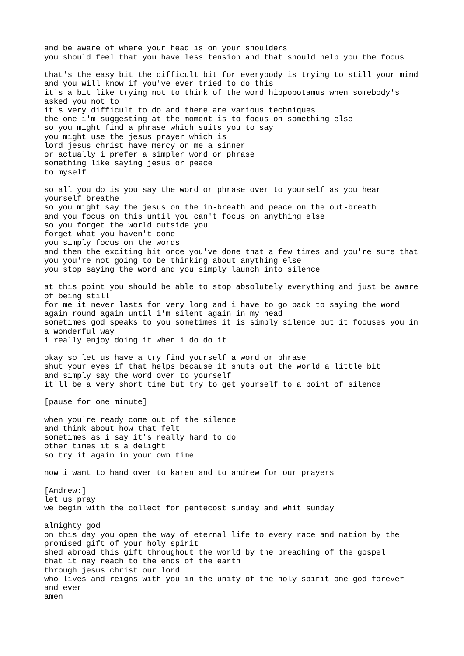and be aware of where your head is on your shoulders you should feel that you have less tension and that should help you the focus that's the easy bit the difficult bit for everybody is trying to still your mind and you will know if you've ever tried to do this it's a bit like trying not to think of the word hippopotamus when somebody's asked you not to it's very difficult to do and there are various techniques the one i'm suggesting at the moment is to focus on something else so you might find a phrase which suits you to say you might use the jesus prayer which is lord jesus christ have mercy on me a sinner or actually i prefer a simpler word or phrase something like saying jesus or peace to myself so all you do is you say the word or phrase over to yourself as you hear yourself breathe so you might say the jesus on the in-breath and peace on the out-breath and you focus on this until you can't focus on anything else so you forget the world outside you forget what you haven't done you simply focus on the words and then the exciting bit once you've done that a few times and you're sure that you you're not going to be thinking about anything else you stop saying the word and you simply launch into silence at this point you should be able to stop absolutely everything and just be aware of being still for me it never lasts for very long and i have to go back to saying the word again round again until i'm silent again in my head sometimes god speaks to you sometimes it is simply silence but it focuses you in a wonderful way i really enjoy doing it when i do do it okay so let us have a try find yourself a word or phrase shut your eyes if that helps because it shuts out the world a little bit and simply say the word over to yourself it'll be a very short time but try to get yourself to a point of silence [pause for one minute] when you're ready come out of the silence and think about how that felt sometimes as i say it's really hard to do other times it's a delight so try it again in your own time now i want to hand over to karen and to andrew for our prayers [Andrew:] let us pray we begin with the collect for pentecost sunday and whit sunday almighty god on this day you open the way of eternal life to every race and nation by the promised gift of your holy spirit shed abroad this gift throughout the world by the preaching of the gospel that it may reach to the ends of the earth through jesus christ our lord who lives and reigns with you in the unity of the holy spirit one god forever and ever amen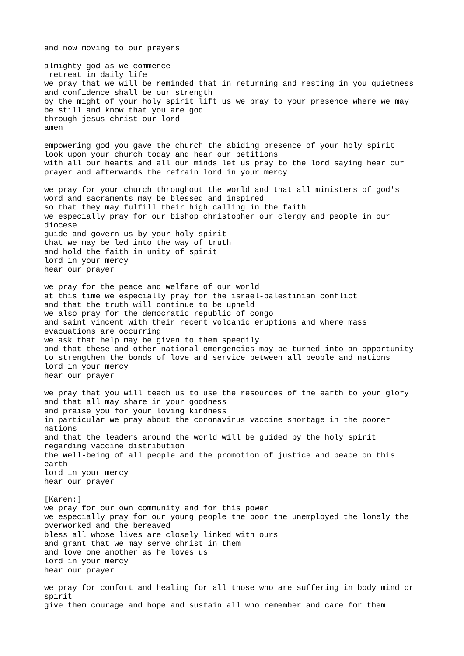and now moving to our prayers almighty god as we commence retreat in daily life we pray that we will be reminded that in returning and resting in you quietness and confidence shall be our strength by the might of your holy spirit lift us we pray to your presence where we may be still and know that you are god through jesus christ our lord amen empowering god you gave the church the abiding presence of your holy spirit look upon your church today and hear our petitions with all our hearts and all our minds let us pray to the lord saying hear our prayer and afterwards the refrain lord in your mercy we pray for your church throughout the world and that all ministers of god's word and sacraments may be blessed and inspired so that they may fulfill their high calling in the faith we especially pray for our bishop christopher our clergy and people in our diocese guide and govern us by your holy spirit that we may be led into the way of truth and hold the faith in unity of spirit lord in your mercy hear our prayer we pray for the peace and welfare of our world at this time we especially pray for the israel-palestinian conflict and that the truth will continue to be upheld we also pray for the democratic republic of congo and saint vincent with their recent volcanic eruptions and where mass evacuations are occurring we ask that help may be given to them speedily and that these and other national emergencies may be turned into an opportunity to strengthen the bonds of love and service between all people and nations lord in your mercy hear our prayer we pray that you will teach us to use the resources of the earth to your glory and that all may share in your goodness and praise you for your loving kindness in particular we pray about the coronavirus vaccine shortage in the poorer nations and that the leaders around the world will be guided by the holy spirit regarding vaccine distribution the well-being of all people and the promotion of justice and peace on this earth lord in your mercy hear our prayer [Karen:] we pray for our own community and for this power we especially pray for our young people the poor the unemployed the lonely the overworked and the bereaved bless all whose lives are closely linked with ours and grant that we may serve christ in them and love one another as he loves us lord in your mercy hear our prayer we pray for comfort and healing for all those who are suffering in body mind or spirit give them courage and hope and sustain all who remember and care for them